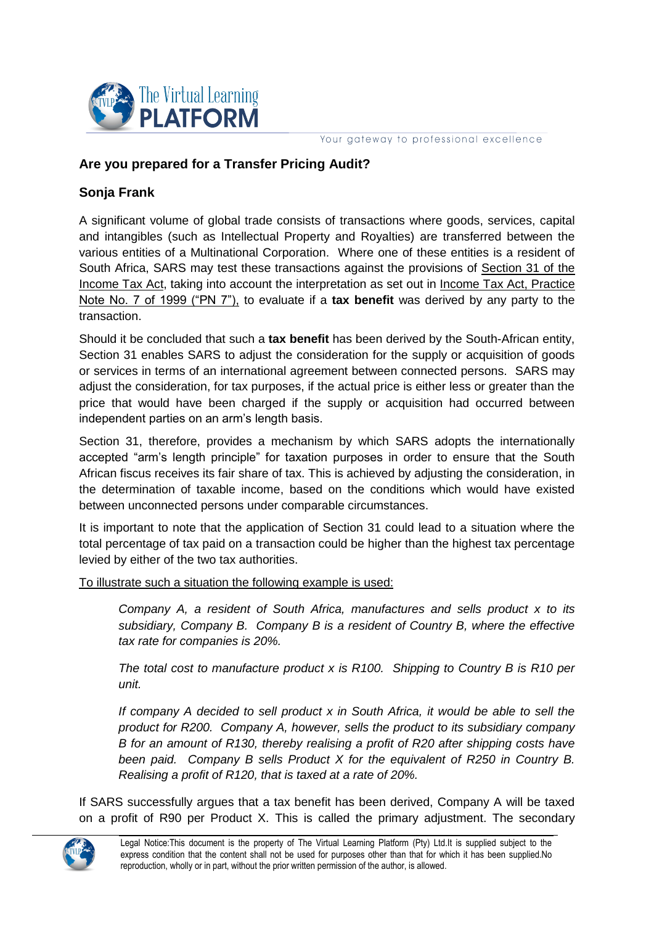

Your gateway to professional excellence

## **Are you prepared for a Transfer Pricing Audit?**

## **Sonja Frank**

A significant volume of global trade consists of transactions where goods, services, capital and intangibles (such as Intellectual Property and Royalties) are transferred between the various entities of a Multinational Corporation. Where one of these entities is a resident of South Africa, SARS may test these transactions against the provisions of Section 31 of the Income Tax Act, taking into account the interpretation as set out in Income Tax Act, Practice Note No. 7 of 1999 ("PN 7"), to evaluate if a **tax benefit** was derived by any party to the transaction.

Should it be concluded that such a **tax benefit** has been derived by the South-African entity, Section 31 enables SARS to adjust the consideration for the supply or acquisition of goods or services in terms of an international agreement between connected persons. SARS may adjust the consideration, for tax purposes, if the actual price is either less or greater than the price that would have been charged if the supply or acquisition had occurred between independent parties on an arm's length basis.

Section 31, therefore, provides a mechanism by which SARS adopts the internationally accepted "arm's length principle" for taxation purposes in order to ensure that the South African fiscus receives its fair share of tax. This is achieved by adjusting the consideration, in the determination of taxable income, based on the conditions which would have existed between unconnected persons under comparable circumstances.

It is important to note that the application of Section 31 could lead to a situation where the total percentage of tax paid on a transaction could be higher than the highest tax percentage levied by either of the two tax authorities.

To illustrate such a situation the following example is used:

*Company A, a resident of South Africa, manufactures and sells product x to its subsidiary, Company B. Company B is a resident of Country B, where the effective tax rate for companies is 20%.* 

*The total cost to manufacture product x is R100. Shipping to Country B is R10 per unit.* 

*If company A decided to sell product x in South Africa, it would be able to sell the product for R200. Company A, however, sells the product to its subsidiary company B for an amount of R130, thereby realising a profit of R20 after shipping costs have been paid. Company B sells Product X for the equivalent of R250 in Country B. Realising a profit of R120, that is taxed at a rate of 20%.* 

If SARS successfully argues that a tax benefit has been derived, Company A will be taxed on a profit of R90 per Product X. This is called the primary adjustment. The secondary